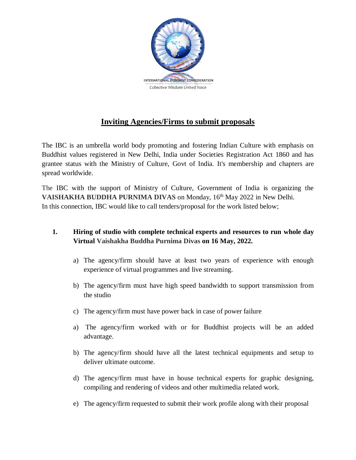

## **Inviting Agencies/Firms to submit proposals**

The IBC is an umbrella world body promoting and fostering Indian Culture with emphasis on Buddhist values registered in New Delhi, India under Societies Registration Act 1860 and has grantee status with the Ministry of Culture, Govt of India. It's membership and chapters are spread worldwide.

The IBC with the support of Ministry of Culture, Government of India is organizing the VAISHAKHA BUDDHA PURNIMA DIVAS on Monday, 16<sup>th</sup> May 2022 in New Delhi. In this connection, IBC would like to call tenders/proposal for the work listed below;

## **1. Hiring of studio with complete technical experts and resources to run whole day Virtual Vaishakha Buddha Purnima Divas on 16 May, 2022.**

- a) The agency/firm should have at least two years of experience with enough experience of virtual programmes and live streaming.
- b) The agency/firm must have high speed bandwidth to support transmission from the studio
- c) The agency/firm must have power back in case of power failure
- a) The agency/firm worked with or for Buddhist projects will be an added advantage.
- b) The agency/firm should have all the latest technical equipments and setup to deliver ultimate outcome.
- d) The agency/firm must have in house technical experts for graphic designing, compiling and rendering of videos and other multimedia related work.
- e) The agency/firm requested to submit their work profile along with their proposal